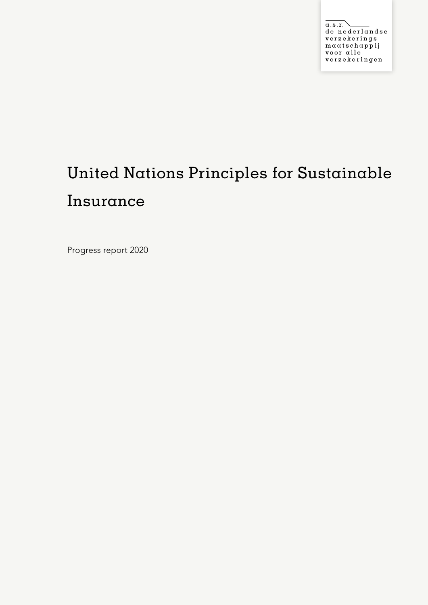$\overline{\alpha.s.r.}$ de nederlandse verzekerings maatschappij voor alle verzekeringen

# United Nations Principles for Sustainable Insurance

Progress report 2020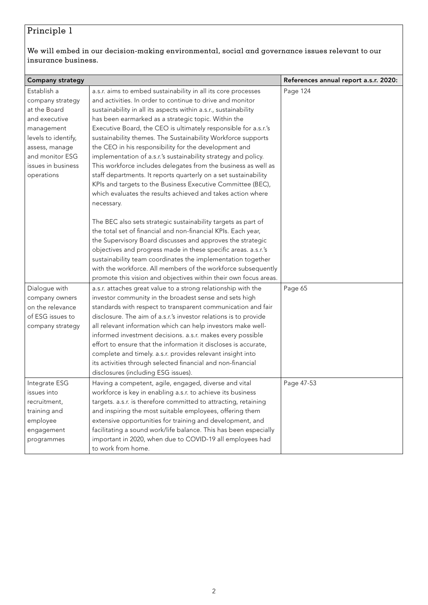#### We will embed in our decision-making environmental, social and governance issues relevant to our insurance business.

| <b>Company strategy</b> |                                                                                                                               | References annual report a.s.r. 2020: |
|-------------------------|-------------------------------------------------------------------------------------------------------------------------------|---------------------------------------|
| Establish a             | a.s.r. aims to embed sustainability in all its core processes                                                                 | Page 124                              |
| company strategy        | and activities. In order to continue to drive and monitor                                                                     |                                       |
| at the Board            | sustainability in all its aspects within a.s.r., sustainability                                                               |                                       |
| and executive           | has been earmarked as a strategic topic. Within the                                                                           |                                       |
| management              | Executive Board, the CEO is ultimately responsible for a.s.r.'s                                                               |                                       |
| levels to identify,     | sustainability themes. The Sustainability Workforce supports                                                                  |                                       |
| assess, manage          | the CEO in his responsibility for the development and                                                                         |                                       |
| and monitor ESG         | implementation of a.s.r.'s sustainability strategy and policy.                                                                |                                       |
| issues in business      | This workforce includes delegates from the business as well as                                                                |                                       |
| operations              | staff departments. It reports quarterly on a set sustainability                                                               |                                       |
|                         | KPIs and targets to the Business Executive Committee (BEC),<br>which evaluates the results achieved and takes action where    |                                       |
|                         | necessary.                                                                                                                    |                                       |
|                         |                                                                                                                               |                                       |
|                         | The BEC also sets strategic sustainability targets as part of                                                                 |                                       |
|                         | the total set of financial and non-financial KPIs. Each year,                                                                 |                                       |
|                         | the Supervisory Board discusses and approves the strategic                                                                    |                                       |
|                         | objectives and progress made in these specific areas. a.s.r.'s                                                                |                                       |
|                         | sustainability team coordinates the implementation together                                                                   |                                       |
|                         | with the workforce. All members of the workforce subsequently                                                                 |                                       |
|                         | promote this vision and objectives within their own focus areas.                                                              |                                       |
| Dialogue with           | a.s.r. attaches great value to a strong relationship with the                                                                 | Page 65                               |
| company owners          | investor community in the broadest sense and sets high                                                                        |                                       |
| on the relevance        | standards with respect to transparent communication and fair                                                                  |                                       |
| of ESG issues to        | disclosure. The aim of a.s.r.'s investor relations is to provide                                                              |                                       |
| company strategy        | all relevant information which can help investors make well-                                                                  |                                       |
|                         | informed investment decisions. a.s.r. makes every possible                                                                    |                                       |
|                         | effort to ensure that the information it discloses is accurate,<br>complete and timely. a.s.r. provides relevant insight into |                                       |
|                         | its activities through selected financial and non-financial                                                                   |                                       |
|                         | disclosures (including ESG issues).                                                                                           |                                       |
| Integrate ESG           | Having a competent, agile, engaged, diverse and vital                                                                         | Page 47-53                            |
| issues into             | workforce is key in enabling a.s.r. to achieve its business                                                                   |                                       |
| recruitment,            | targets. a.s.r. is therefore committed to attracting, retaining                                                               |                                       |
| training and            | and inspiring the most suitable employees, offering them                                                                      |                                       |
| employee                | extensive opportunities for training and development, and                                                                     |                                       |
| engagement              | facilitating a sound work/life balance. This has been especially                                                              |                                       |
| programmes              | important in 2020, when due to COVID-19 all employees had                                                                     |                                       |
|                         | to work from home.                                                                                                            |                                       |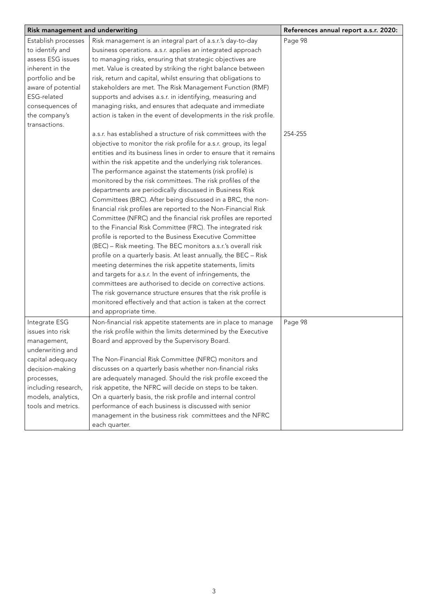| Risk management and underwriting |                                                                    | References annual report a.s.r. 2020: |
|----------------------------------|--------------------------------------------------------------------|---------------------------------------|
| Establish processes              | Risk management is an integral part of a.s.r.'s day-to-day         | Page 98                               |
| to identify and                  | business operations. a.s.r. applies an integrated approach         |                                       |
| assess ESG issues                | to managing risks, ensuring that strategic objectives are          |                                       |
| inherent in the                  | met. Value is created by striking the right balance between        |                                       |
| portfolio and be                 | risk, return and capital, whilst ensuring that obligations to      |                                       |
| aware of potential               | stakeholders are met. The Risk Management Function (RMF)           |                                       |
| ESG-related                      | supports and advises a.s.r. in identifying, measuring and          |                                       |
| consequences of                  | managing risks, and ensures that adequate and immediate            |                                       |
| the company's                    | action is taken in the event of developments in the risk profile.  |                                       |
| transactions.                    |                                                                    |                                       |
|                                  | a.s.r. has established a structure of risk committees with the     | 254-255                               |
|                                  | objective to monitor the risk profile for a.s.r. group, its legal  |                                       |
|                                  | entities and its business lines in order to ensure that it remains |                                       |
|                                  | within the risk appetite and the underlying risk tolerances.       |                                       |
|                                  | The performance against the statements (risk profile) is           |                                       |
|                                  | monitored by the risk committees. The risk profiles of the         |                                       |
|                                  | departments are periodically discussed in Business Risk            |                                       |
|                                  | Committees (BRC). After being discussed in a BRC, the non-         |                                       |
|                                  | financial risk profiles are reported to the Non-Financial Risk     |                                       |
|                                  | Committee (NFRC) and the financial risk profiles are reported      |                                       |
|                                  | to the Financial Risk Committee (FRC). The integrated risk         |                                       |
|                                  | profile is reported to the Business Executive Committee            |                                       |
|                                  | (BEC) - Risk meeting. The BEC monitors a.s.r.'s overall risk       |                                       |
|                                  | profile on a quarterly basis. At least annually, the BEC - Risk    |                                       |
|                                  | meeting determines the risk appetite statements, limits            |                                       |
|                                  | and targets for a.s.r. In the event of infringements, the          |                                       |
|                                  | committees are authorised to decide on corrective actions.         |                                       |
|                                  | The risk governance structure ensures that the risk profile is     |                                       |
|                                  | monitored effectively and that action is taken at the correct      |                                       |
|                                  | and appropriate time.                                              |                                       |
| Integrate ESG                    | Non-financial risk appetite statements are in place to manage      | Page 98                               |
| issues into risk                 | the risk profile within the limits determined by the Executive     |                                       |
| management,                      | Board and approved by the Supervisory Board.                       |                                       |
| underwriting and                 |                                                                    |                                       |
| capital adequacy                 | The Non-Financial Risk Committee (NFRC) monitors and               |                                       |
| decision-making                  | discusses on a quarterly basis whether non-financial risks         |                                       |
| processes,                       | are adequately managed. Should the risk profile exceed the         |                                       |
| including research,              | risk appetite, the NFRC will decide on steps to be taken.          |                                       |
| models, analytics,               | On a quarterly basis, the risk profile and internal control        |                                       |
| tools and metrics.               | performance of each business is discussed with senior              |                                       |
|                                  | management in the business risk committees and the NFRC            |                                       |
|                                  | each quarter.                                                      |                                       |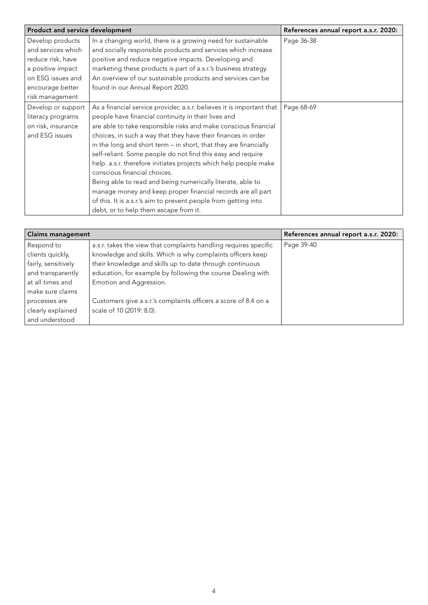| Product and service development |                                                                       | References annual report a.s.r. 2020: |
|---------------------------------|-----------------------------------------------------------------------|---------------------------------------|
| Develop products                | In a changing world, there is a growing need for sustainable          | Page 36-38                            |
| and services which              | and socially responsible products and services which increase         |                                       |
| reduce risk, have               | positive and reduce negative impacts. Developing and                  |                                       |
| a positive impact               | marketing these products is part of a.s.r.'s business strategy.       |                                       |
| on ESG issues and               | An overview of our sustainable products and services can be           |                                       |
| encourage better                | found in our Annual Report 2020.                                      |                                       |
| risk management                 |                                                                       |                                       |
| Develop or support              | As a financial service provider, a.s.r. believes it is important that | Page 68-69                            |
| literacy programs               | people have financial continuity in their lives and                   |                                       |
| on risk, insurance              | are able to take responsible risks and make conscious financial       |                                       |
| and ESG issues                  | choices, in such a way that they have their finances in order         |                                       |
|                                 | in the long and short term - in short, that they are financially      |                                       |
|                                 | self-reliant. Some people do not find this easy and require           |                                       |
|                                 | help. a.s.r. therefore initiates projects which help people make      |                                       |
|                                 | conscious financial choices.                                          |                                       |
|                                 | Being able to read and being numerically literate, able to            |                                       |
|                                 | manage money and keep proper financial records are all part           |                                       |
|                                 | of this. It is a.s.r.'s aim to prevent people from getting into       |                                       |
|                                 | debt, or to help them escape from it.                                 |                                       |

| <b>Claims management</b> |                                                                  | References annual report a.s.r. 2020: |
|--------------------------|------------------------------------------------------------------|---------------------------------------|
| Respond to               | a.s.r. takes the view that complaints handling requires specific | Page 39-40                            |
| clients quickly,         | knowledge and skills. Which is why complaints officers keep      |                                       |
| fairly, sensitively      | their knowledge and skills up to date through continuous         |                                       |
| and transparently        | education, for example by following the course Dealing with      |                                       |
| at all times and         | Emotion and Aggression.                                          |                                       |
| make sure claims         |                                                                  |                                       |
| processes are            | Customers give a.s.r.'s complaints officers a score of 8.4 on a  |                                       |
| clearly explained        | scale of 10 (2019: 8.0).                                         |                                       |
| and understood           |                                                                  |                                       |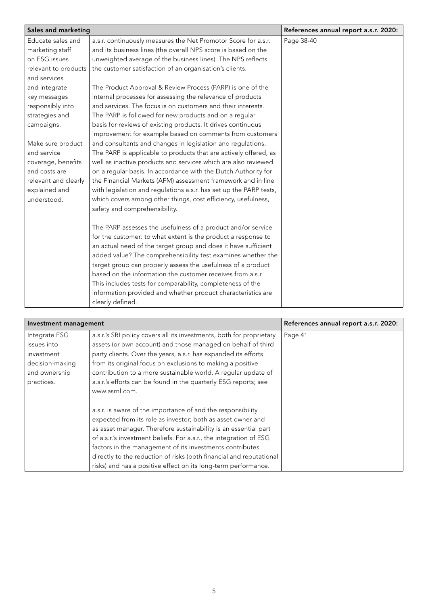| Sales and marketing  |                                                                    | References annual report a.s.r. 2020: |
|----------------------|--------------------------------------------------------------------|---------------------------------------|
| Educate sales and    | a.s.r. continuously measures the Net Promotor Score for a.s.r.     | Page 38-40                            |
| marketing staff      | and its business lines (the overall NPS score is based on the      |                                       |
| on ESG issues        | unweighted average of the business lines). The NPS reflects        |                                       |
| relevant to products | the customer satisfaction of an organisation's clients.            |                                       |
| and services         |                                                                    |                                       |
| and integrate        | The Product Approval & Review Process (PARP) is one of the         |                                       |
| key messages         | internal processes for assessing the relevance of products         |                                       |
| responsibly into     | and services. The focus is on customers and their interests.       |                                       |
| strategies and       | The PARP is followed for new products and on a regular             |                                       |
| campaigns.           | basis for reviews of existing products. It drives continuous       |                                       |
|                      | improvement for example based on comments from customers           |                                       |
| Make sure product    | and consultants and changes in legislation and regulations.        |                                       |
| and service          | The PARP is applicable to products that are actively offered, as   |                                       |
| coverage, benefits   | well as inactive products and services which are also reviewed     |                                       |
| and costs are        | on a regular basis. In accordance with the Dutch Authority for     |                                       |
| relevant and clearly | the Financial Markets (AFM) assessment framework and in line       |                                       |
| explained and        | with legislation and regulations a.s.r. has set up the PARP tests, |                                       |
| understood.          | which covers among other things, cost efficiency, usefulness,      |                                       |
|                      | safety and comprehensibility.                                      |                                       |
|                      | The PARP assesses the usefulness of a product and/or service       |                                       |
|                      | for the customer: to what extent is the product a response to      |                                       |
|                      | an actual need of the target group and does it have sufficient     |                                       |
|                      | added value? The comprehensibility test examines whether the       |                                       |
|                      | target group can properly assess the usefulness of a product       |                                       |
|                      | based on the information the customer receives from a.s.r.         |                                       |
|                      | This includes tests for comparability, completeness of the         |                                       |
|                      | information provided and whether product characteristics are       |                                       |
|                      | clearly defined.                                                   |                                       |

| Investment management |                                                                      | References annual report a.s.r. 2020: |
|-----------------------|----------------------------------------------------------------------|---------------------------------------|
| Integrate ESG         | a.s.r.'s SRI policy covers all its investments, both for proprietary | Page 41                               |
| issues into           | assets (or own account) and those managed on behalf of third         |                                       |
| investment            | party clients. Over the years, a.s.r. has expanded its efforts       |                                       |
| decision-making       | from its original focus on exclusions to making a positive           |                                       |
| and ownership         | contribution to a more sustainable world. A regular update of        |                                       |
| practices.            | a.s.r.'s efforts can be found in the quarterly ESG reports; see      |                                       |
|                       | www.asrnl.com.                                                       |                                       |
|                       |                                                                      |                                       |
|                       | a.s.r. is aware of the importance of and the responsibility          |                                       |
|                       | expected from its role as investor; both as asset owner and          |                                       |
|                       | as asset manager. Therefore sustainability is an essential part      |                                       |
|                       | of a.s.r.'s investment beliefs. For a.s.r., the integration of ESG   |                                       |
|                       | factors in the management of its investments contributes             |                                       |
|                       | directly to the reduction of risks (both financial and reputational  |                                       |
|                       | risks) and has a positive effect on its long-term performance.       |                                       |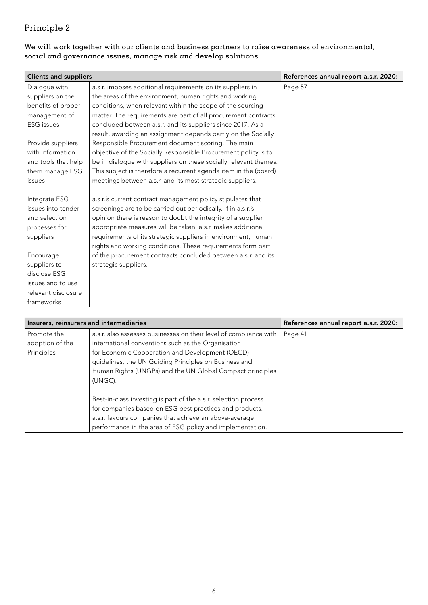#### We will work together with our clients and business partners to raise awareness of environmental, social and governance issues, manage risk and develop solutions.

| <b>Clients and suppliers</b> |                                                                  | References annual report a.s.r. 2020: |
|------------------------------|------------------------------------------------------------------|---------------------------------------|
| Dialogue with                | a.s.r. imposes additional requirements on its suppliers in       | Page 57                               |
| suppliers on the             | the areas of the environment, human rights and working           |                                       |
| benefits of proper           | conditions, when relevant within the scope of the sourcing       |                                       |
| management of                | matter. The requirements are part of all procurement contracts   |                                       |
| <b>ESG</b> issues            | concluded between a.s.r. and its suppliers since 2017. As a      |                                       |
|                              | result, awarding an assignment depends partly on the Socially    |                                       |
| Provide suppliers            | Responsible Procurement document scoring. The main               |                                       |
| with information             | objective of the Socially Responsible Procurement policy is to   |                                       |
| and tools that help          | be in dialogue with suppliers on these socially relevant themes. |                                       |
| them manage ESG              | This subject is therefore a recurrent agenda item in the (board) |                                       |
| issues                       | meetings between a.s.r. and its most strategic suppliers.        |                                       |
|                              |                                                                  |                                       |
| Integrate ESG                | a.s.r.'s current contract management policy stipulates that      |                                       |
| issues into tender           | screenings are to be carried out periodically. If in a.s.r.'s    |                                       |
| and selection                | opinion there is reason to doubt the integrity of a supplier,    |                                       |
| processes for                | appropriate measures will be taken. a.s.r. makes additional      |                                       |
| suppliers                    | requirements of its strategic suppliers in environment, human    |                                       |
|                              | rights and working conditions. These requirements form part      |                                       |
| Encourage                    | of the procurement contracts concluded between a.s.r. and its    |                                       |
| suppliers to                 | strategic suppliers.                                             |                                       |
| disclose ESG                 |                                                                  |                                       |
| issues and to use            |                                                                  |                                       |
| relevant disclosure          |                                                                  |                                       |
| frameworks                   |                                                                  |                                       |

| Insurers, reinsurers and intermediaries      |                                                                                                                                                                                                                                                                                                             | References annual report a.s.r. 2020: |
|----------------------------------------------|-------------------------------------------------------------------------------------------------------------------------------------------------------------------------------------------------------------------------------------------------------------------------------------------------------------|---------------------------------------|
| Promote the<br>adoption of the<br>Principles | a.s.r. also assesses businesses on their level of compliance with<br>international conventions such as the Organisation<br>for Economic Cooperation and Development (OECD)<br>guidelines, the UN Guiding Principles on Business and<br>Human Rights (UNGPs) and the UN Global Compact principles<br>(UNGC). | Page 41                               |
|                                              | Best-in-class investing is part of the a.s.r. selection process<br>for companies based on ESG best practices and products.<br>a.s.r. favours companies that achieve an above-average<br>performance in the area of ESG policy and implementation.                                                           |                                       |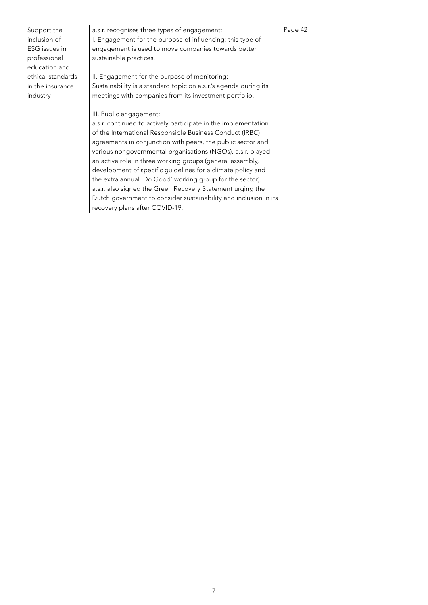| Support the       | a.s.r. recognises three types of engagement:                     | Page 42 |
|-------------------|------------------------------------------------------------------|---------|
| inclusion of      | I. Engagement for the purpose of influencing: this type of       |         |
| ESG issues in     | engagement is used to move companies towards better              |         |
| professional      | sustainable practices.                                           |         |
| education and     |                                                                  |         |
| ethical standards | II. Engagement for the purpose of monitoring:                    |         |
| in the insurance  | Sustainability is a standard topic on a.s.r.'s agenda during its |         |
| industry          | meetings with companies from its investment portfolio.           |         |
|                   |                                                                  |         |
|                   | III. Public engagement:                                          |         |
|                   | a.s.r. continued to actively participate in the implementation   |         |
|                   | of the International Responsible Business Conduct (IRBC)         |         |
|                   | agreements in conjunction with peers, the public sector and      |         |
|                   | various nongovernmental organisations (NGOs). a.s.r. played      |         |
|                   | an active role in three working groups (general assembly,        |         |
|                   | development of specific guidelines for a climate policy and      |         |
|                   | the extra annual 'Do Good' working group for the sector).        |         |
|                   | a.s.r. also signed the Green Recovery Statement urging the       |         |
|                   | Dutch government to consider sustainability and inclusion in its |         |
|                   | recovery plans after COVID-19.                                   |         |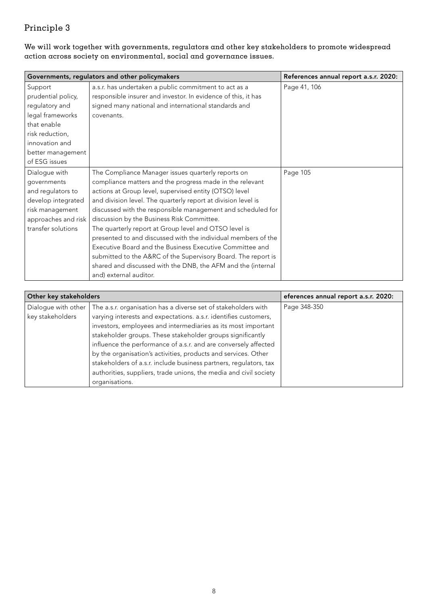We will work together with governments, regulators and other key stakeholders to promote widespread action across society on environmental, social and governance issues.

|                                                                                                                                                               | Governments, regulators and other policymakers                                                                                                                                                                                                                                                                                                                                                                                                                                                                                                                                                                                                                                                          | References annual report a.s.r. 2020: |
|---------------------------------------------------------------------------------------------------------------------------------------------------------------|---------------------------------------------------------------------------------------------------------------------------------------------------------------------------------------------------------------------------------------------------------------------------------------------------------------------------------------------------------------------------------------------------------------------------------------------------------------------------------------------------------------------------------------------------------------------------------------------------------------------------------------------------------------------------------------------------------|---------------------------------------|
| Support<br>prudential policy,<br>regulatory and<br>legal frameworks<br>that enable<br>risk reduction,<br>innovation and<br>better management<br>of ESG issues | a.s.r. has undertaken a public commitment to act as a<br>responsible insurer and investor. In evidence of this, it has<br>signed many national and international standards and<br>covenants.                                                                                                                                                                                                                                                                                                                                                                                                                                                                                                            | Page 41, 106                          |
| Dialogue with<br>governments<br>and regulators to<br>develop integrated<br>risk management<br>approaches and risk<br>transfer solutions                       | The Compliance Manager issues quarterly reports on<br>compliance matters and the progress made in the relevant<br>actions at Group level, supervised entity (OTSO) level<br>and division level. The quarterly report at division level is<br>discussed with the responsible management and scheduled for<br>discussion by the Business Risk Committee.<br>The quarterly report at Group level and OTSO level is<br>presented to and discussed with the individual members of the<br>Executive Board and the Business Executive Committee and<br>submitted to the A&RC of the Supervisory Board. The report is<br>shared and discussed with the DNB, the AFM and the (internal<br>and) external auditor. | Page 105                              |

| Other key stakeholders                  |                                                                                                                                                                                                                                                                                                                                                                                                                                                                                                                                                                    | eferences annual report a.s.r. 2020: |
|-----------------------------------------|--------------------------------------------------------------------------------------------------------------------------------------------------------------------------------------------------------------------------------------------------------------------------------------------------------------------------------------------------------------------------------------------------------------------------------------------------------------------------------------------------------------------------------------------------------------------|--------------------------------------|
| Dialogue with other<br>key stakeholders | The a.s.r. organisation has a diverse set of stakeholders with<br>varying interests and expectations. a.s.r. identifies customers,<br>investors, employees and intermediaries as its most important<br>stakeholder groups. These stakeholder groups significantly<br>influence the performance of a.s.r. and are conversely affected<br>by the organisation's activities, products and services. Other<br>stakeholders of a.s.r. include business partners, regulators, tax<br>authorities, suppliers, trade unions, the media and civil society<br>organisations. | Page 348-350                         |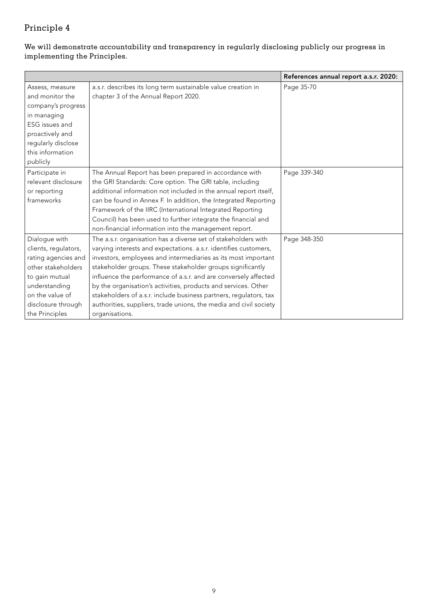#### We will demonstrate accountability and transparency in regularly disclosing publicly our progress in implementing the Principles.

|                      |                                                                   | References annual report a.s.r. 2020: |
|----------------------|-------------------------------------------------------------------|---------------------------------------|
| Assess, measure      | a.s.r. describes its long term sustainable value creation in      | Page 35-70                            |
| and monitor the      | chapter 3 of the Annual Report 2020.                              |                                       |
| company's progress   |                                                                   |                                       |
| in managing          |                                                                   |                                       |
| ESG issues and       |                                                                   |                                       |
| proactively and      |                                                                   |                                       |
| regularly disclose   |                                                                   |                                       |
| this information     |                                                                   |                                       |
| publicly             |                                                                   |                                       |
| Participate in       | The Annual Report has been prepared in accordance with            | Page 339-340                          |
| relevant disclosure  | the GRI Standards: Core option. The GRI table, including          |                                       |
| or reporting         | additional information not included in the annual report itself,  |                                       |
| frameworks           | can be found in Annex F. In addition, the Integrated Reporting    |                                       |
|                      | Framework of the IIRC (International Integrated Reporting         |                                       |
|                      | Council) has been used to further integrate the financial and     |                                       |
|                      | non-financial information into the management report.             |                                       |
| Dialogue with        | The a.s.r. organisation has a diverse set of stakeholders with    | Page 348-350                          |
| clients, regulators, | varying interests and expectations. a.s.r. identifies customers,  |                                       |
| rating agencies and  | investors, employees and intermediaries as its most important     |                                       |
| other stakeholders   | stakeholder groups. These stakeholder groups significantly        |                                       |
| to gain mutual       | influence the performance of a.s.r. and are conversely affected   |                                       |
| understanding        | by the organisation's activities, products and services. Other    |                                       |
| on the value of      | stakeholders of a.s.r. include business partners, regulators, tax |                                       |
| disclosure through   | authorities, suppliers, trade unions, the media and civil society |                                       |
| the Principles       | organisations.                                                    |                                       |